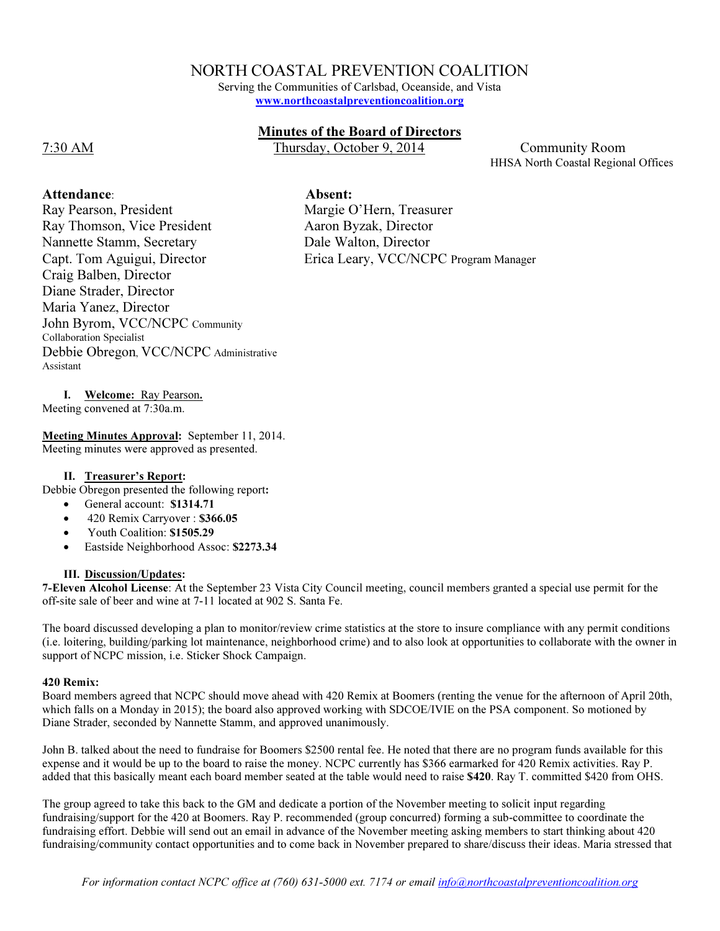# NORTH COASTAL PREVENTION COALITION

Serving the Communities of Carlsbad, Oceanside, and Vista www.northcoastalpreventioncoalition.org

# Minutes of the Board of Directors

7:30 AM Thursday, October 9, 2014 Community Room

HHSA North Coastal Regional Offices

Ray Pearson, President

Ray Thomson, Vice President Nannette Stamm, Secretary Capt. Tom Aguigui, Director Craig Balben, Director Diane Strader, Director Maria Yanez, Director John Byrom, VCC/NCPC Community Collaboration Specialist Debbie Obregon, VCC/NCPC Administrative Assistant

Attendance: Absent:

Margie O'Hern, Treasurer Aaron Byzak, Director Dale Walton, Director Erica Leary, VCC/NCPC Program Manager

I. Welcome: Ray Pearson.

Meeting convened at 7:30a.m.

Meeting Minutes Approval: September 11, 2014. Meeting minutes were approved as presented.

#### II. Treasurer's Report:

Debbie Obregon presented the following report:

- General account: \$1314.71
- 420 Remix Carryover : \$366.05
- Youth Coalition: \$1505.29
- Eastside Neighborhood Assoc: \$2273.34

# III. Discussion/Updates:

7-Eleven Alcohol License: At the September 23 Vista City Council meeting, council members granted a special use permit for the off-site sale of beer and wine at 7-11 located at 902 S. Santa Fe.

The board discussed developing a plan to monitor/review crime statistics at the store to insure compliance with any permit conditions (i.e. loitering, building/parking lot maintenance, neighborhood crime) and to also look at opportunities to collaborate with the owner in support of NCPC mission, i.e. Sticker Shock Campaign.

#### 420 Remix:

Board members agreed that NCPC should move ahead with 420 Remix at Boomers (renting the venue for the afternoon of April 20th, which falls on a Monday in 2015); the board also approved working with SDCOE/IVIE on the PSA component. So motioned by Diane Strader, seconded by Nannette Stamm, and approved unanimously.

John B. talked about the need to fundraise for Boomers \$2500 rental fee. He noted that there are no program funds available for this expense and it would be up to the board to raise the money. NCPC currently has \$366 earmarked for 420 Remix activities. Ray P. added that this basically meant each board member seated at the table would need to raise \$420. Ray T. committed \$420 from OHS.

The group agreed to take this back to the GM and dedicate a portion of the November meeting to solicit input regarding fundraising/support for the 420 at Boomers. Ray P. recommended (group concurred) forming a sub-committee to coordinate the fundraising effort. Debbie will send out an email in advance of the November meeting asking members to start thinking about 420 fundraising/community contact opportunities and to come back in November prepared to share/discuss their ideas. Maria stressed that